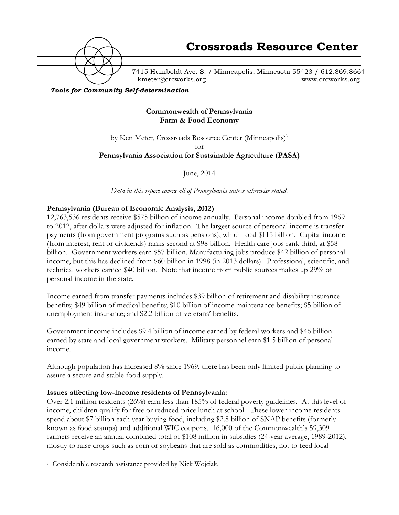

7415 Humboldt Ave. S. / Minneapolis, Minnesota 55423 / 612.869.8664 kmeter@crcworks.org www.crcworks.org

*Tools for Community Self-determination*

### **Commonwealth of Pennsylvania Farm & Food Economy**

by Ken Meter, Crossroads Resource Center (Minneapolis)<sup>1</sup> for **Pennsylvania Association for Sustainable Agriculture (PASA)**

June, 2014

*Data in this report covers all of Pennsylvania unless otherwise stated.*

### **Pennsylvania (Bureau of Economic Analysis, 2012)**

12,763,536 residents receive \$575 billion of income annually. Personal income doubled from 1969 to 2012, after dollars were adjusted for inflation. The largest source of personal income is transfer payments (from government programs such as pensions), which total \$115 billion. Capital income (from interest, rent or dividends) ranks second at \$98 billion. Health care jobs rank third, at \$58 billion. Government workers earn \$57 billion. Manufacturing jobs produce \$42 billion of personal income, but this has declined from \$60 billion in 1998 (in 2013 dollars). Professional, scientific, and technical workers earned \$40 billion. Note that income from public sources makes up 29% of personal income in the state.

Income earned from transfer payments includes \$39 billion of retirement and disability insurance benefits; \$49 billion of medical benefits; \$10 billion of income maintenance benefits; \$5 billion of unemployment insurance; and \$2.2 billion of veterans' benefits.

Government income includes \$9.4 billion of income earned by federal workers and \$46 billion earned by state and local government workers. Military personnel earn \$1.5 billion of personal income.

Although population has increased 8% since 1969, there has been only limited public planning to assure a secure and stable food supply.

#### **Issues affecting low-income residents of Pennsylvania:**

Over 2.1 million residents (26%) earn less than 185% of federal poverty guidelines. At this level of income, children qualify for free or reduced-price lunch at school. These lower-income residents spend about \$7 billion each year buying food, including \$2.8 billion of SNAP benefits (formerly known as food stamps) and additional WIC coupons. 16,000 of the Commonwealth's 59,309 farmers receive an annual combined total of \$108 million in subsidies (24-year average, 1989-2012), mostly to raise crops such as corn or soybeans that are sold as commodities, not to feed local

 <sup>1</sup> Considerable research assistance provided by Nick Wojciak.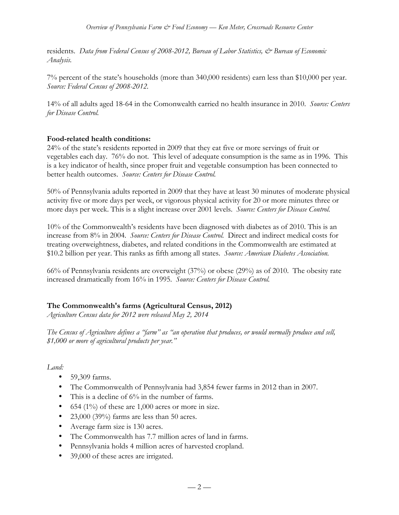residents. *Data from Federal Census of 2008-2012, Bureau of Labor Statistics,*  $\mathcal{Q}$  *Bureau of Economic Analysis.*

7% percent of the state's households (more than 340,000 residents) earn less than \$10,000 per year. *Source: Federal Census of 2008-2012.*

14% of all adults aged 18-64 in the Comonwealth carried no health insurance in 2010. *Source: Centers for Disease Control.*

### **Food-related health conditions:**

24% of the state's residents reported in 2009 that they eat five or more servings of fruit or vegetables each day. 76% do not. This level of adequate consumption is the same as in 1996. This is a key indicator of health, since proper fruit and vegetable consumption has been connected to better health outcomes. *Source: Centers for Disease Control.*

50% of Pennsylvania adults reported in 2009 that they have at least 30 minutes of moderate physical activity five or more days per week, or vigorous physical activity for 20 or more minutes three or more days per week. This is a slight increase over 2001 levels. *Source: Centers for Disease Control.*

10% of the Commonwealth's residents have been diagnosed with diabetes as of 2010. This is an increase from 8% in 2004. *Source: Centers for Disease Control.* Direct and indirect medical costs for treating overweightness, diabetes, and related conditions in the Commonwealth are estimated at \$10.2 billion per year. This ranks as fifth among all states. *Source: American Diabetes Association.*

66% of Pennsylvania residents are overweight (37%) or obese (29%) as of 2010. The obesity rate increased dramatically from 16% in 1995. *Source: Centers for Disease Control.*

## **The Commonwealth's farms (Agricultural Census, 2012)**

*Agriculture Census data for 2012 were released May 2, 2014*

*The Census of Agriculture defines a "farm" as "an operation that produces, or would normally produce and sell, \$1,000 or more of agricultural products per year."*

*Land:*

- 59,309 farms.
- The Commonwealth of Pennsylvania had 3,854 fewer farms in 2012 than in 2007.
- This is a decline of  $6\%$  in the number of farms.
- 654 (1%) of these are 1,000 acres or more in size.
- 23,000 (39%) farms are less than 50 acres.
- Average farm size is 130 acres.
- The Commonwealth has 7.7 million acres of land in farms.
- Pennsylvania holds 4 million acres of harvested cropland.
- 39,000 of these acres are irrigated.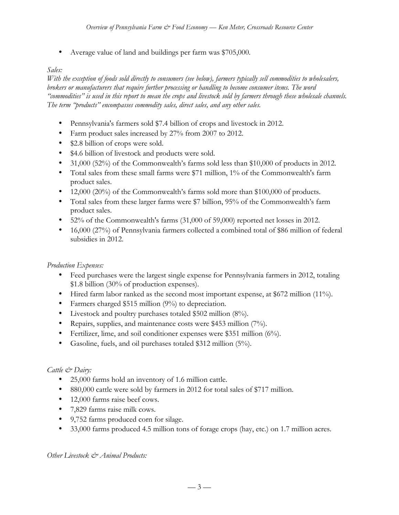• Average value of land and buildings per farm was \$705,000.

# *Sales:*

*With the exception of foods sold directly to consumers (see below), farmers typically sell commodities to wholesalers, brokers or manufacturers that require further processing or handling to become consumer items. The word "commodities" is used in this report to mean the crops and livestock sold by farmers through these wholesale channels. The term "products" encompasses commodity sales, direct sales, and any other sales.* 

- Pennsylvania's farmers sold \$7.4 billion of crops and livestock in 2012.
- Farm product sales increased by 27% from 2007 to 2012.
- \$2.8 billion of crops were sold.
- \$4.6 billion of livestock and products were sold.
- 31,000 (52%) of the Commonwealth's farms sold less than \$10,000 of products in 2012.
- Total sales from these small farms were \$71 million, 1% of the Commonwealth's farm product sales.
- 12,000 (20%) of the Commonwealth's farms sold more than \$100,000 of products.
- Total sales from these larger farms were \$7 billion, 95% of the Commonwealth's farm product sales.
- 52% of the Commonwealth's farms (31,000 of 59,000) reported net losses in 2012.
- 16,000 (27%) of Pennsylvania farmers collected a combined total of \$86 million of federal subsidies in 2012.

## *Production Expenses:*

- Feed purchases were the largest single expense for Pennsylvania farmers in 2012, totaling \$1.8 billion (30% of production expenses).
- Hired farm labor ranked as the second most important expense, at \$672 million (11%).
- Farmers charged \$515 million (9%) to depreciation.
- Livestock and poultry purchases totaled \$502 million (8%).
- Repairs, supplies, and maintenance costs were \$453 million (7%).
- Fertilizer, lime, and soil conditioner expenses were \$351 million (6%).
- Gasoline, fuels, and oil purchases totaled \$312 million (5%).

# *Cattle & Dairy:*

- 25,000 farms hold an inventory of 1.6 million cattle.
- 880,000 cattle were sold by farmers in 2012 for total sales of \$717 million.
- 12,000 farms raise beef cows.
- 7,829 farms raise milk cows.
- 9,752 farms produced corn for silage.
- 33,000 farms produced 4.5 million tons of forage crops (hay, etc.) on 1.7 million acres.

*Other Livestock & Animal Products:*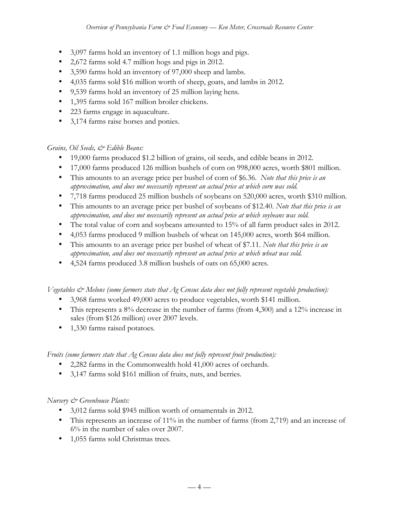- 3,097 farms hold an inventory of 1.1 million hogs and pigs.
- 2,672 farms sold 4.7 million hogs and pigs in 2012.
- 3,590 farms hold an inventory of 97,000 sheep and lambs.
- 4,035 farms sold \$16 million worth of sheep, goats, and lambs in 2012.
- 9,539 farms hold an inventory of 25 million laying hens*.*
- 1,395 farms sold 167 million broiler chickens.
- 223 farms engage in aquaculture.
- 3,174 farms raise horses and ponies.

## *Grains, Oil Seeds, & Edible Beans:*

- 19,000 farms produced \$1.2 billion of grains, oil seeds, and edible beans in 2012.
- 17,000 farms produced 126 million bushels of corn on 998,000 acres, worth \$801 million.
- This amounts to an average price per bushel of corn of \$6.36. *Note that this price is an approximation, and does not necessarily represent an actual price at which corn was sold.*
- 7,718 farms produced 25 million bushels of soybeans on 520,000 acres, worth \$310 million.
- This amounts to an average price per bushel of soybeans of \$12.40. *Note that this price is an approximation, and does not necessarily represent an actual price at which soybeans was sold.*
- The total value of corn and soybeans amounted to 15% of all farm product sales in 2012.
- 4,053 farms produced 9 million bushels of wheat on 145,000 acres, worth \$64 million.
- This amounts to an average price per bushel of wheat of \$7.11. *Note that this price is an approximation, and does not necessarily represent an actual price at which wheat was sold.*
- 4,524 farms produced 3.8 million bushels of oats on 65,000 acres.

*Vegetables & Melons (some farmers state that Ag Census data does not fully represent vegetable production):*

- 3,968 farms worked 49,000 acres to produce vegetables, worth \$141 million.
- This represents a 8% decrease in the number of farms (from 4,300) and a 12% increase in sales (from \$126 million) over 2007 levels.
- 1,330 farms raised potatoes*.*

*Fruits (some farmers state that Ag Census data does not fully represent fruit production):*

- 2,282 farms in the Commonwealth hold 41,000 acres of orchards.
- 3,147 farms sold \$161 million of fruits, nuts, and berries*.*

## *Nursery & Greenhouse Plants:*

- 3,012 farms sold \$945 million worth of ornamentals in 2012.
- This represents an increase of 11% in the number of farms (from 2,719) and an increase of 6% in the number of sales over 2007.
- 1,055 farms sold Christmas trees.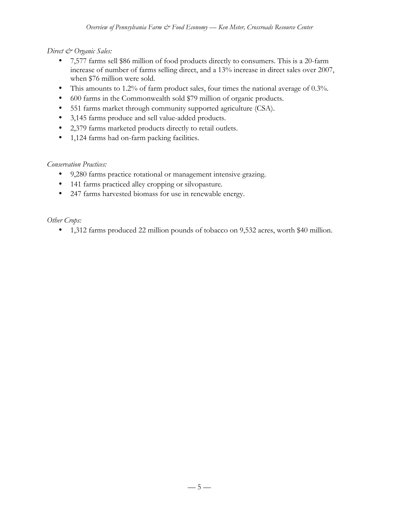## *Direct & Organic Sales:*

- 7,577 farms sell \$86 million of food products directly to consumers. This is a 20-farm increase of number of farms selling direct, and a 13% increase in direct sales over 2007, when \$76 million were sold.
- This amounts to 1.2% of farm product sales, four times the national average of 0.3%.
- 600 farms in the Commonwealth sold \$79 million of organic products.
- 551 farms market through community supported agriculture (CSA).
- 3,145 farms produce and sell value-added products.
- 2,379 farms marketed products directly to retail outlets.
- 1,124 farms had on-farm packing facilities.

# *Conservation Practices:*

- 9,280 farms practice rotational or management intensive grazing.
- 141 farms practiced alley cropping or silvopasture.
- 247 farms harvested biomass for use in renewable energy.

## *Other Crops:*

• 1,312 farms produced 22 million pounds of tobacco on 9,532 acres, worth \$40 million.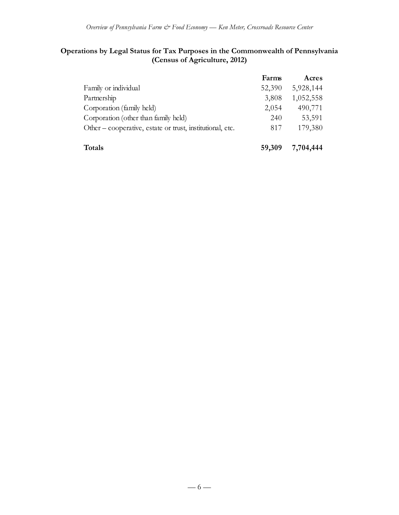# **Operations by Legal Status for Tax Purposes in the Commonwealth of Pennsylvania (Census of Agriculture, 2012)**

|                                                           | Farms  | Acres     |
|-----------------------------------------------------------|--------|-----------|
| Family or individual                                      | 52,390 | 5,928,144 |
| Partnership                                               | 3,808  | 1,052,558 |
| Corporation (family held)                                 | 2,054  | 490,771   |
| Corporation (other than family held)                      | 240    | 53,591    |
| Other – cooperative, estate or trust, institutional, etc. | 817    | 179,380   |
| Totals                                                    | 59,309 | 7,704,444 |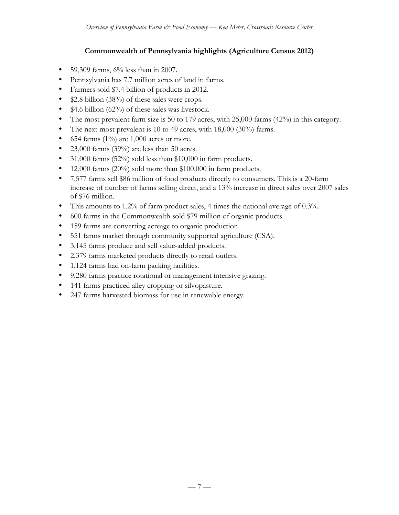# **Commonwealth of Pennsylvania highlights (Agriculture Census 2012)**

- 59,309 farms,  $6\%$  less than in 2007.
- Pennsylvania has 7.7 million acres of land in farms.
- Farmers sold \$7.4 billion of products in 2012.
- \$2.8 billion (38%) of these sales were crops.
- \$4.6 billion (62%) of these sales was livestock.
- The most prevalent farm size is 50 to 179 acres, with 25,000 farms (42%) in this category.
- The next most prevalent is 10 to 49 acres, with 18,000 (30%) farms.
- 654 farms  $(1\%)$  are 1,000 acres or more.
- 23,000 farms (39%) are less than 50 acres.
- 31,000 farms (52%) sold less than \$10,000 in farm products.
- 12,000 farms (20%) sold more than \$100,000 in farm products.
- 7,577 farms sell \$86 million of food products directly to consumers. This is a 20-farm increase of number of farms selling direct, and a 13% increase in direct sales over 2007 sales of \$76 million.
- This amounts to 1.2% of farm product sales, 4 times the national average of 0.3%.
- 600 farms in the Commonwealth sold \$79 million of organic products.
- 159 farms are converting acreage to organic production.
- 551 farms market through community supported agriculture (CSA).
- 3,145 farms produce and sell value-added products.
- 2,379 farms marketed products directly to retail outlets.
- 1,124 farms had on-farm packing facilities.
- 9,280 farms practice rotational or management intensive grazing.
- 141 farms practiced alley cropping or silvopasture.
- 247 farms harvested biomass for use in renewable energy.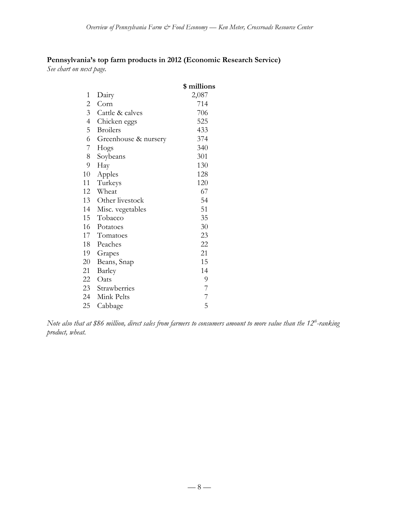# **Pennsylvania's top farm products in 2012 (Economic Research Service)**

*See chart on next page.*

|                |                      | \$ millions    |
|----------------|----------------------|----------------|
| 1              | Dairy                | 2,087          |
| 2              | Corn                 | 714            |
| 3              | Cattle & calves      | 706            |
| $\overline{4}$ | Chicken eggs         | 525            |
| 5              | <b>Broilers</b>      | 433            |
| 6              | Greenhouse & nursery | 374            |
| 7              | Hogs                 | 340            |
| 8              | Soybeans             | 301            |
| 9              | Hay                  | 130            |
| 10             | Apples               | 128            |
| 11             | Turkeys              | 120            |
| 12             | Wheat                | 67             |
| 13             | Other livestock      | 54             |
| 14             | Misc. vegetables     | 51             |
| 15             | Tobacco              | 35             |
| 16             | Potatoes             | 30             |
| 17             | Tomatoes             | 23             |
| 18             | Peaches              | 22             |
| 19             | Grapes               | 21             |
| 20             | Beans, Snap          | 15             |
| 21             | Barley               | 14             |
| 22             | Oats                 | 9              |
| 23             | Strawberries         | 7              |
| 24             | Mink Pelts           | $\overline{7}$ |
| 25             | Cabbage              | 5              |

 $N$ ote also that at \$86 million, direct sales from farmers to consumers amount to more value than the 12<sup>th</sup>-ranking *product, wheat.*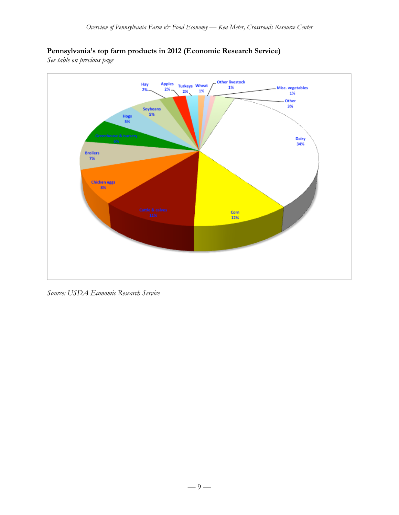# **Pennsylvania's top farm products in 2012 (Economic Research Service)**

*See table on previous page*



*Source: USDA Economic Research Service*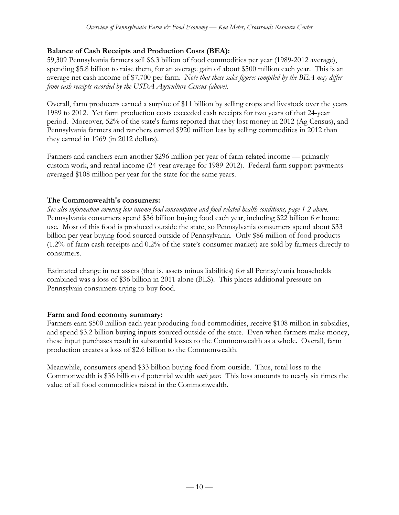### **Balance of Cash Receipts and Production Costs (BEA):**

59,309 Pennsylvania farmers sell \$6.3 billion of food commodities per year (1989-2012 average), spending \$5.8 billion to raise them, for an average gain of about \$500 million each year. This is an average net cash income of \$7,700 per farm. *Note that these sales figures compiled by the BEA may differ from cash receipts recorded by the USDA Agriculture Census (above).*

Overall, farm producers earned a surplue of \$11 billion by selling crops and livestock over the years 1989 to 2012. Yet farm production costs exceeded cash receipts for two years of that 24-year period. Moreover, 52% of the state's farms reported that they lost money in 2012 (Ag Census), and Pennsylvania farmers and ranchers earned \$920 million less by selling commodities in 2012 than they earned in 1969 (in 2012 dollars).

Farmers and ranchers earn another \$296 million per year of farm-related income — primarily custom work, and rental income (24-year average for 1989-2012). Federal farm support payments averaged \$108 million per year for the state for the same years.

#### **The Commonwealth's consumers:**

*See also information covering low-income food consumption and food-related health conditions, page 1-2 above.* Pennsylvania consumers spend \$36 billion buying food each year, including \$22 billion for home use. Most of this food is produced outside the state, so Pennsylvania consumers spend about \$33 billion per year buying food sourced outside of Pennsylvania. Only \$86 million of food products (1.2% of farm cash receipts and 0.2% of the state's consumer market) are sold by farmers directly to consumers.

Estimated change in net assets (that is, assets minus liabilities) for all Pennsylvania households combined was a loss of \$36 billion in 2011 alone (BLS). This places additional pressure on Pennsylvaia consumers trying to buy food.

#### **Farm and food economy summary:**

Farmers earn \$500 million each year producing food commodities, receive \$108 million in subsidies, and spend \$3.2 billion buying inputs sourced outside of the state. Even when farmers make money, these input purchases result in substantial losses to the Commonwealth as a whole. Overall, farm production creates a loss of \$2.6 billion to the Commonwealth.

Meanwhile, consumers spend \$33 billion buying food from outside. Thus, total loss to the Commonwealth is \$36 billion of potential wealth *each year*. This loss amounts to nearly six times the value of all food commodities raised in the Commonwealth.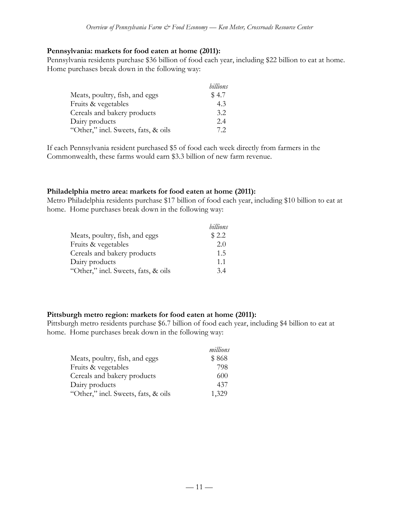#### **Pennsylvania: markets for food eaten at home (2011):**

Pennsylvania residents purchase \$36 billion of food each year, including \$22 billion to eat at home. Home purchases break down in the following way:

|                                     | billions |
|-------------------------------------|----------|
| Meats, poultry, fish, and eggs      | \$4.7    |
| Fruits & vegetables                 | 4.3      |
| Cereals and bakery products         | 3.2      |
| Dairy products                      | 2.4      |
| "Other," incl. Sweets, fats, & oils | 72       |

If each Pennsylvania resident purchased \$5 of food each week directly from farmers in the Commonwealth, these farms would earn \$3.3 billion of new farm revenue.

#### **Philadelphia metro area: markets for food eaten at home (2011):**

Metro Philadelphia residents purchase \$17 billion of food each year, including \$10 billion to eat at home. Home purchases break down in the following way:

|                                     | billions |
|-------------------------------------|----------|
| Meats, poultry, fish, and eggs      | \$2.2    |
| Fruits & vegetables                 | 2.0      |
| Cereals and bakery products         | 1.5      |
| Dairy products                      | 1.1      |
| "Other," incl. Sweets, fats, & oils | 34       |

#### **Pittsburgh metro region: markets for food eaten at home (2011):**

Pittsburgh metro residents purchase \$6.7 billion of food each year, including \$4 billion to eat at home. Home purchases break down in the following way:

|                                     | millions |
|-------------------------------------|----------|
| Meats, poultry, fish, and eggs      | \$868    |
| Fruits & vegetables                 | 798      |
| Cereals and bakery products         | 600      |
| Dairy products                      | 437      |
| "Other," incl. Sweets, fats, & oils | 1,329    |